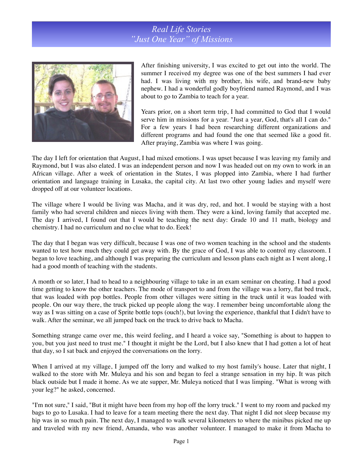## *Real Life Stories "Just One Year" of Missions*



After finishing university, I was excited to get out into the world. The summer I received my degree was one of the best summers I had ever had. I was living with my brother, his wife, and brand-new baby nephew. I had a wonderful godly boyfriend named Raymond, and I was about to go to Zambia to teach for a year.

Years prior, on a short term trip, I had committed to God that I would serve him in missions for a year. "Just a year, God, that's all I can do." For a few years I had been researching different organizations and different programs and had found the one that seemed like a good fit. After praying, Zambia was where I was going.

The day I left for orientation that August, I had mixed emotions. I was upset because I was leaving my family and Raymond, but I was also elated. I was an independent person and now I was headed out on my own to work in an African village. After a week of orientation in the States, I was plopped into Zambia, where I had further orientation and language training in Lusaka, the capital city. At last two other young ladies and myself were dropped off at our volunteer locations.

The village where I would be living was Macha, and it was dry, red, and hot. I would be staying with a host family who had several children and nieces living with them. They were a kind, loving family that accepted me. The day I arrived, I found out that I would be teaching the next day: Grade 10 and 11 math, biology and chemistry. I had no curriculum and no clue what to do. Eeek!

The day that I began was very difficult, because I was one of two women teaching in the school and the students wanted to test how much they could get away with. By the grace of God, I was able to control my classroom. I began to love teaching, and although I was preparing the curriculum and lesson plans each night as I went along, I had a good month of teaching with the students.

A month or so later, I had to head to a neighbouring village to take in an exam seminar on cheating. I had a good time getting to know the other teachers. The mode of transport to and from the village was a lorry, flat bed truck, that was loaded with pop bottles. People from other villages were sitting in the truck until it was loaded with people. On our way there, the truck picked up people along the way. I remember being uncomfortable along the way as I was sitting on a case of Sprite bottle tops (ouch!), but loving the experience, thankful that I didn't have to walk. After the seminar, we all jumped back on the truck to drive back to Macha.

Something strange came over me, this weird feeling, and I heard a voice say, "Something is about to happen to you, but you just need to trust me." I thought it might be the Lord, but I also knew that I had gotten a lot of heat that day, so I sat back and enjoyed the conversations on the lorry.

When I arrived at my village, I jumped off the lorry and walked to my host family's house. Later that night, I walked to the store with Mr. Muleya and his son and began to feel a strange sensation in my hip. It was pitch black outside but I made it home. As we ate supper, Mr. Muleya noticed that I was limping. "What is wrong with your leg?" he asked, concerned.

"I'm not sure," I said, "But it might have been from my hop off the lorry truck." I went to my room and packed my bags to go to Lusaka. I had to leave for a team meeting there the next day. That night I did not sleep because my hip was in so much pain. The next day, I managed to walk several kilometers to where the minibus picked me up and traveled with my new friend, Amanda, who was another volunteer. I managed to make it from Macha to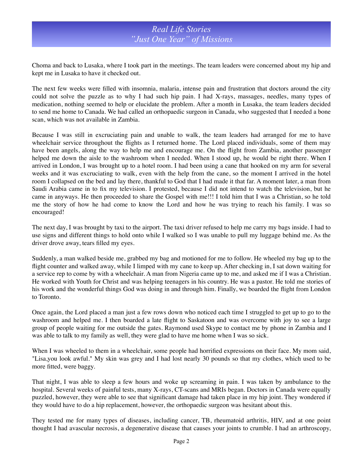## *Real Life Stories "Just One Year" of Missions*

Choma and back to Lusaka, where I took part in the meetings. The team leaders were concerned about my hip and kept me in Lusaka to have it checked out.

The next few weeks were filled with insomnia, malaria, intense pain and frustration that doctors around the city could not solve the puzzle as to why I had such hip pain. I had X-rays, massages, needles, many types of medication, nothing seemed to help or elucidate the problem. After a month in Lusaka, the team leaders decided to send me home to Canada. We had called an orthopaedic surgeon in Canada, who suggested that I needed a bone scan, which was not available in Zambia.

Because I was still in excruciating pain and unable to walk, the team leaders had arranged for me to have wheelchair service throughout the flights as I returned home. The Lord placed individuals, some of them may have been angels, along the way to help me and encourage me. On the flight from Zambia, another passenger helped me down the aisle to the washroom when I needed. When I stood up, he would be right there. When I arrived in London, I was brought up to a hotel room. I had been using a cane that hooked on my arm for several weeks and it was excruciating to walk, even with the help from the cane, so the moment I arrived in the hotel room I collapsed on the bed and lay there, thankful to God that I had made it that far. A moment later, a man from Saudi Arabia came in to fix my television. I protested, because I did not intend to watch the television, but he came in anyways. He then proceeded to share the Gospel with me!!! I told him that I was a Christian, so he told me the story of how he had come to know the Lord and how he was trying to reach his family. I was so encouraged!

The next day, I was brought by taxi to the airport. The taxi driver refused to help me carry my bags inside. I had to use signs and different things to hold onto while I walked so I was unable to pull my luggage behind me. As the driver drove away, tears filled my eyes.

Suddenly, a man walked beside me, grabbed my bag and motioned for me to follow. He wheeled my bag up to the flight counter and walked away, while I limped with my cane to keep up. After checking in, I sat down waiting for a service rep to come by with a wheelchair. A man from Nigeria came up to me, and asked me if I was a Christian. He worked with Youth for Christ and was helping teenagers in his country. He was a pastor. He told me stories of his work and the wonderful things God was doing in and through him. Finally, we boarded the flight from London to Toronto.

Once again, the Lord placed a man just a few rows down who noticed each time I struggled to get up to go to the washroom and helped me. I then boarded a late flight to Saskatoon and was overcome with joy to see a large group of people waiting for me outside the gates. Raymond used Skype to contact me by phone in Zambia and I was able to talk to my family as well, they were glad to have me home when I was so sick.

When I was wheeled to them in a wheelchair, some people had horrified expressions on their face. My mom said, "Lisa,you look awful." My skin was grey and I had lost nearly 30 pounds so that my clothes, which used to be more fitted, were baggy.

That night, I was able to sleep a few hours and woke up screaming in pain. I was taken by ambulance to the hospital. Several weeks of painful tests, many X-rays, CT-scans and MRIs began. Doctors in Canada were equally puzzled, however, they were able to see that significant damage had taken place in my hip joint. They wondered if they would have to do a hip replacement, however, the orthopaedic surgeon was hesitant about this.

They tested me for many types of diseases, including cancer, TB, rheumatoid arthritis, HIV, and at one point thought I had avascular necrosis, a degenerative disease that causes your joints to crumble. I had an arthroscopy,